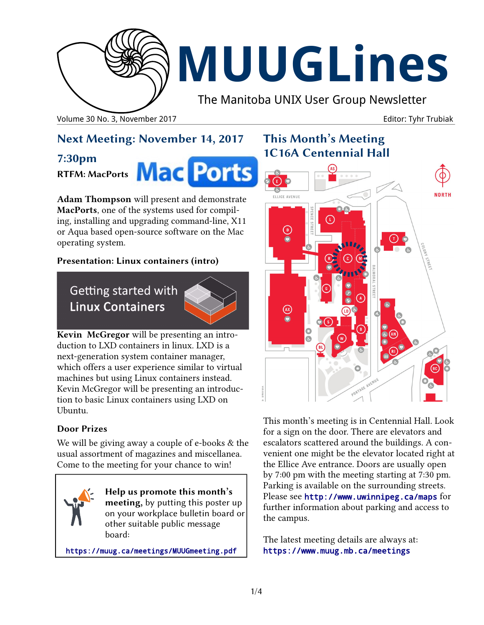

# **MUUGLines**

The Manitoba UNIX User Group Newsletter

Volume 30 No. 3, November 2017 **Editor: Tyhr Trubiak** Company of Editor: Tyhr Trubiak

## **Next Meeting: November 14, 2017**

## **7:30pm**

#### **RTFM: MacPorts**

**Mac Ports** 

**Adam Thompson** will present and demonstrate **MacPorts**, one of the systems used for compiling, installing and upgrading command-line, X11 or Aqua based open-source software on the Mac operating system.

#### **Presentation: Linux containers (intro)**

## Getting started with **Linux Containers**



**Kevin McGregor** will be presenting an introduction to LXD containers in linux. LXD is a next-generation system container manager, which offers a user experience similar to virtual machines but using Linux containers instead. Kevin McGregor will be presenting an introduction to basic Linux containers using LXD on Ubuntu.

#### **Door Prizes**

We will be giving away a couple of e-books & the usual assortment of magazines and miscellanea. Come to the meeting for your chance to win!

**Help us promote this month's meeting,** by putting this poster up on your workplace bulletin board or other suitable public message board:

<https://muug.ca/meetings/MUUGmeeting.pdf>

## **This Month's Meeting 1C16A Centennial Hall**



This month's meeting is in Centennial Hall. Look for a sign on the door. There are elevators and escalators scattered around the buildings. A convenient one might be the elevator located right at the Ellice Ave entrance. Doors are usually open by 7:00 pm with the meeting starting at 7:30 pm. Parking is available on the surrounding streets. Please see <http://www.uwinnipeg.ca/maps> for further information about parking and access to the campus.

The latest meeting details are always at: <https://www.muug.mb.ca/meetings>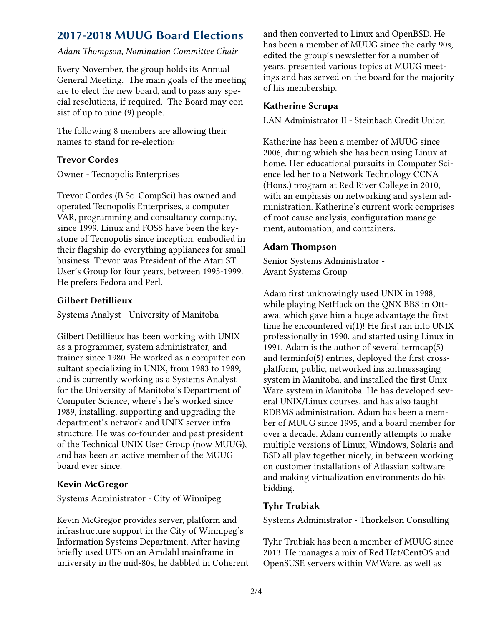## **2017-2018 MUUG Board Elections**

#### *Adam Thompson, Nomination Committee Chair*

Every November, the group holds its Annual General Meeting. The main goals of the meeting are to elect the new board, and to pass any special resolutions, if required. The Board may consist of up to nine (9) people.

The following 8 members are allowing their names to stand for re-election:

#### **Trevor Cordes**

Owner - Tecnopolis Enterprises

Trevor Cordes (B.Sc. CompSci) has owned and operated Tecnopolis Enterprises, a computer VAR, programming and consultancy company, since 1999. Linux and FOSS have been the keystone of Tecnopolis since inception, embodied in their flagship do-everything appliances for small business. Trevor was President of the Atari ST User's Group for four years, between 1995-1999. He prefers Fedora and Perl.

#### **Gilbert Detillieux**

Systems Analyst - University of Manitoba

Gilbert Detillieux has been working with UNIX as a programmer, system administrator, and trainer since 1980. He worked as a computer consultant specializing in UNIX, from 1983 to 1989, and is currently working as a Systems Analyst for the University of Manitoba's Department of Computer Science, where's he's worked since 1989, installing, supporting and upgrading the department's network and UNIX server infrastructure. He was co-founder and past president of the Technical UNIX User Group (now MUUG), and has been an active member of the MUUG board ever since.

#### **Kevin McGregor**

Systems Administrator - City of Winnipeg

Kevin McGregor provides server, platform and infrastructure support in the City of Winnipeg's Information Systems Department. After having briefly used UTS on an Amdahl mainframe in university in the mid-80s, he dabbled in Coherent and then converted to Linux and OpenBSD. He has been a member of MUUG since the early 90s, edited the group's newsletter for a number of years, presented various topics at MUUG meetings and has served on the board for the majority of his membership.

#### **Katherine Scrupa**

LAN Administrator II - Steinbach Credit Union

Katherine has been a member of MUUG since 2006, during which she has been using Linux at home. Her educational pursuits in Computer Science led her to a Network Technology CCNA (Hons.) program at Red River College in 2010, with an emphasis on networking and system administration. Katherine's current work comprises of root cause analysis, configuration management, automation, and containers.

#### **Adam Thompson**

Senior Systems Administrator - Avant Systems Group

Adam first unknowingly used UNIX in 1988, while playing NetHack on the QNX BBS in Ottawa, which gave him a huge advantage the first time he encountered vi(1)! He first ran into UNIX professionally in 1990, and started using Linux in 1991. Adam is the author of several termcap(5) and terminfo(5) entries, deployed the first crossplatform, public, networked instantmessaging system in Manitoba, and installed the first Unix-Ware system in Manitoba. He has developed several UNIX/Linux courses, and has also taught RDBMS administration. Adam has been a member of MUUG since 1995, and a board member for over a decade. Adam currently attempts to make multiple versions of Linux, Windows, Solaris and BSD all play together nicely, in between working on customer installations of Atlassian software and making virtualization environments do his bidding.

#### **Tyhr Trubiak**

Systems Administrator - Thorkelson Consulting

Tyhr Trubiak has been a member of MUUG since 2013. He manages a mix of Red Hat/CentOS and OpenSUSE servers within VMWare, as well as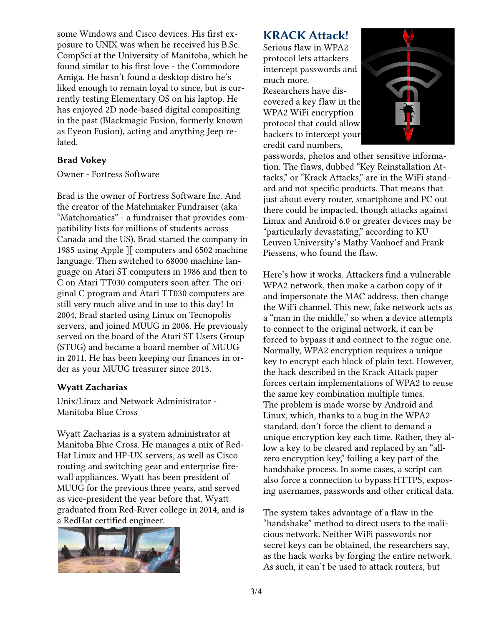some Windows and Cisco devices. His first exposure to UNIX was when he received his B.Sc. CompSci at the University of Manitoba, which he found similar to his first love - the Commodore Amiga. He hasn't found a desktop distro he's liked enough to remain loyal to since, but is currently testing Elementary OS on his laptop. He has enjoyed 2D node-based digital compositing in the past (Blackmagic Fusion, formerly known as Eyeon Fusion), acting and anything Jeep related.

#### **Brad Vokey**

Owner - Fortress Software

Brad is the owner of Fortress Software Inc. And the creator of the Matchmaker Fundraiser (aka "Matchomatics" - a fundraiser that provides compatibility lists for millions of students across Canada and the US). Brad started the company in 1985 using Apple ][ computers and 6502 machine language. Then switched to 68000 machine language on Atari ST computers in 1986 and then to C on Atari TT030 computers soon after. The original C program and Atari TT030 computers are still very much alive and in use to this day! In 2004, Brad started using Linux on Tecnopolis servers, and joined MUUG in 2006. He previously served on the board of the Atari ST Users Group (STUG) and became a board member of MUUG in 2011. He has been keeping our finances in order as your MUUG treasurer since 2013.

#### **Wyatt Zacharias**

Unix/Linux and Network Administrator - Manitoba Blue Cross

Wyatt Zacharias is a system administrator at Manitoba Blue Cross. He manages a mix of Red-Hat Linux and HP-UX servers, as well as Cisco routing and switching gear and enterprise firewall appliances. Wyatt has been president of MUUG for the previous three years, and served as vice-president the year before that. Wyatt graduated from Red-River college in 2014, and is a RedHat certified engineer.



### **KRACK Attack!**

Serious flaw in WPA2 protocol lets attackers intercept passwords and much more.

Researchers have discovered a key flaw in the WPA2 WiFi encryption protocol that could allow hackers to intercept your credit card numbers,



passwords, photos and other sensitive information. The flaws, dubbed "Key Reinstallation Attacks," or "Krack Attacks," are in the WiFi standard and not specific products. That means that just about every router, smartphone and PC out there could be impacted, though attacks against Linux and Android 6.0 or greater devices may be "particularly devastating," according to KU Leuven University's Mathy Vanhoef and Frank Piessens, who found the flaw.

Here's how it works. Attackers find a vulnerable WPA2 network, then make a carbon copy of it and impersonate the MAC address, then change the WiFi channel. This new, fake network acts as a "man in the middle," so when a device attempts to connect to the original network, it can be forced to bypass it and connect to the rogue one. Normally, WPA2 encryption requires a unique key to encrypt each block of plain text. However, the hack described in the Krack Attack paper forces certain implementations of WPA2 to reuse the same key combination multiple times. The problem is made worse by Android and Linux, which, thanks to a bug in the WPA2 standard, don't force the client to demand a unique encryption key each time. Rather, they allow a key to be cleared and replaced by an "allzero encryption key," foiling a key part of the handshake process. In some cases, a script can also force a connection to bypass HTTPS, exposing usernames, passwords and other critical data.

The system takes advantage of a flaw in the "handshake" method to direct users to the malicious network. Neither WiFi passwords nor secret keys can be obtained, the researchers say, as the hack works by forging the entire network. As such, it can't be used to attack routers, but